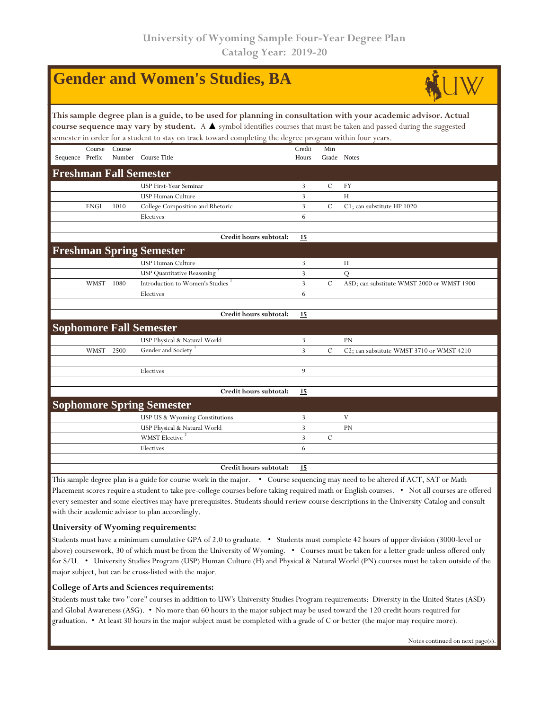|                                                                                                                                                                                                                                                                                                                                                                    |             |        | <b>Gender and Women's Studies, BA</b>                                                                                                 |                 |                    |                                            |  |  |  |  |  |  |
|--------------------------------------------------------------------------------------------------------------------------------------------------------------------------------------------------------------------------------------------------------------------------------------------------------------------------------------------------------------------|-------------|--------|---------------------------------------------------------------------------------------------------------------------------------------|-----------------|--------------------|--------------------------------------------|--|--|--|--|--|--|
| This sample degree plan is a guide, to be used for planning in consultation with your academic advisor. Actual<br>course sequence may vary by student. A $\blacktriangle$ symbol identifies courses that must be taken and passed during the suggested<br>semester in order for a student to stay on track toward completing the degree program within four years. |             |        |                                                                                                                                       |                 |                    |                                            |  |  |  |  |  |  |
| Sequence Prefix                                                                                                                                                                                                                                                                                                                                                    | Course      | Course | Number Course Title                                                                                                                   | Credit<br>Hours | Min<br>Grade Notes |                                            |  |  |  |  |  |  |
|                                                                                                                                                                                                                                                                                                                                                                    |             |        | <b>Freshman Fall Semester</b>                                                                                                         |                 |                    |                                            |  |  |  |  |  |  |
|                                                                                                                                                                                                                                                                                                                                                                    |             |        | USP First-Year Seminar                                                                                                                | 3               | $\mathcal{C}$      | <b>FY</b>                                  |  |  |  |  |  |  |
|                                                                                                                                                                                                                                                                                                                                                                    |             |        | USP Human Culture                                                                                                                     | $\overline{3}$  |                    | H                                          |  |  |  |  |  |  |
|                                                                                                                                                                                                                                                                                                                                                                    | <b>ENGL</b> | 1010   | College Composition and Rhetoric                                                                                                      | 3               | $\mathcal{C}$      | C1; can substitute HP 1020                 |  |  |  |  |  |  |
|                                                                                                                                                                                                                                                                                                                                                                    |             |        | Electives                                                                                                                             | 6               |                    |                                            |  |  |  |  |  |  |
|                                                                                                                                                                                                                                                                                                                                                                    |             |        |                                                                                                                                       |                 |                    |                                            |  |  |  |  |  |  |
|                                                                                                                                                                                                                                                                                                                                                                    |             |        | Credit hours subtotal:                                                                                                                | 15              |                    |                                            |  |  |  |  |  |  |
|                                                                                                                                                                                                                                                                                                                                                                    |             |        | <b>Freshman Spring Semester</b>                                                                                                       |                 |                    |                                            |  |  |  |  |  |  |
|                                                                                                                                                                                                                                                                                                                                                                    |             |        | USP Human Culture                                                                                                                     | 3               |                    | H                                          |  |  |  |  |  |  |
|                                                                                                                                                                                                                                                                                                                                                                    |             |        | <b>USP Quantitative Reasoning</b>                                                                                                     | $\overline{3}$  |                    | $\overline{Q}$                             |  |  |  |  |  |  |
|                                                                                                                                                                                                                                                                                                                                                                    | <b>WMST</b> | 1080   | Introduction to Women's Studies                                                                                                       | 3               | $\mathcal{C}$      | ASD; can substitute WMST 2000 or WMST 1900 |  |  |  |  |  |  |
|                                                                                                                                                                                                                                                                                                                                                                    |             |        | Electives                                                                                                                             | 6               |                    |                                            |  |  |  |  |  |  |
|                                                                                                                                                                                                                                                                                                                                                                    |             |        |                                                                                                                                       |                 |                    |                                            |  |  |  |  |  |  |
|                                                                                                                                                                                                                                                                                                                                                                    |             |        | Credit hours subtotal:                                                                                                                | 15              |                    |                                            |  |  |  |  |  |  |
|                                                                                                                                                                                                                                                                                                                                                                    |             |        | <b>Sophomore Fall Semester</b>                                                                                                        |                 |                    |                                            |  |  |  |  |  |  |
|                                                                                                                                                                                                                                                                                                                                                                    |             |        | USP Physical & Natural World                                                                                                          | 3               |                    | <b>PN</b>                                  |  |  |  |  |  |  |
|                                                                                                                                                                                                                                                                                                                                                                    | WMST        | 2500   | Gender and Society                                                                                                                    | $\overline{3}$  | $\mathcal{C}$      | C2; can substitute WMST 3710 or WMST 4210  |  |  |  |  |  |  |
|                                                                                                                                                                                                                                                                                                                                                                    |             |        |                                                                                                                                       |                 |                    |                                            |  |  |  |  |  |  |
|                                                                                                                                                                                                                                                                                                                                                                    |             |        | Electives                                                                                                                             | 9               |                    |                                            |  |  |  |  |  |  |
|                                                                                                                                                                                                                                                                                                                                                                    |             |        |                                                                                                                                       |                 |                    |                                            |  |  |  |  |  |  |
|                                                                                                                                                                                                                                                                                                                                                                    |             |        | Credit hours subtotal:                                                                                                                | 15              |                    |                                            |  |  |  |  |  |  |
|                                                                                                                                                                                                                                                                                                                                                                    |             |        | <b>Sophomore Spring Semester</b>                                                                                                      |                 |                    |                                            |  |  |  |  |  |  |
|                                                                                                                                                                                                                                                                                                                                                                    |             |        | USP US & Wyoming Constitutions                                                                                                        | 3               |                    | V                                          |  |  |  |  |  |  |
|                                                                                                                                                                                                                                                                                                                                                                    |             |        | USP Physical & Natural World                                                                                                          | $\overline{3}$  |                    | <b>PN</b>                                  |  |  |  |  |  |  |
|                                                                                                                                                                                                                                                                                                                                                                    |             |        | WMST Elective <sup>2</sup>                                                                                                            | 3               | $\mathcal{C}$      |                                            |  |  |  |  |  |  |
|                                                                                                                                                                                                                                                                                                                                                                    |             |        | Electives                                                                                                                             | 6               |                    |                                            |  |  |  |  |  |  |
|                                                                                                                                                                                                                                                                                                                                                                    |             |        |                                                                                                                                       |                 |                    |                                            |  |  |  |  |  |  |
|                                                                                                                                                                                                                                                                                                                                                                    |             |        | Credit hours subtotal:                                                                                                                | 15              |                    |                                            |  |  |  |  |  |  |
|                                                                                                                                                                                                                                                                                                                                                                    |             |        | This sample degree plan is a quide for course work in the major $\bullet$ Course sequencing may need to be altered if ACT SAT or Math |                 |                    |                                            |  |  |  |  |  |  |

the degree plan is a guide for course work in the major. • Course sequencing may need to be altere  $\,$ Placement scores require a student to take pre-college courses before taking required math or English courses. • Not all courses are offered every semester and some electives may have prerequisites. Students should review course descriptions in the University Catalog and consult with their academic advisor to plan accordingly.

## **University of Wyoming requirements:**

Students must have a minimum cumulative GPA of 2.0 to graduate. • Students must complete 42 hours of upper division (3000-level or above) coursework, 30 of which must be from the University of Wyoming. • Courses must be taken for a letter grade unless offered only for S/U. • University Studies Program (USP) Human Culture (H) and Physical & Natural World (PN) courses must be taken outside of the major subject, but can be cross-listed with the major.

## **College of Arts and Sciences requirements:**

Students must take two "core" courses in addition to UW's University Studies Program requirements: Diversity in the United States (ASD) and Global Awareness (ASG). • No more than 60 hours in the major subject may be used toward the 120 credit hours required for graduation. • At least 30 hours in the major subject must be completed with a grade of C or better (the major may require more).